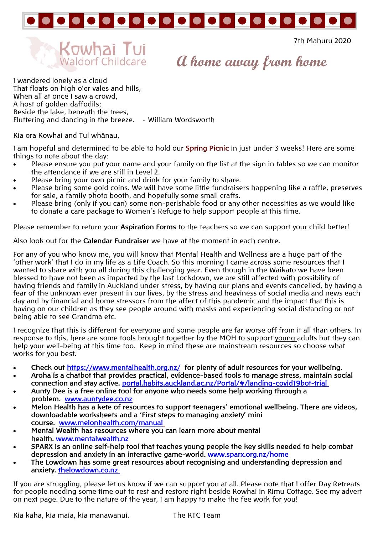

**7th Mahuru 2020** 7th Mahuru 2020



**A home away from home**

I wandered lonely as a cloud That floats on high o'er vales and hills, When all at once I saw a crowd. A host of golden daffodils; Beside the lake, beneath the trees, Fluttering and dancing in the breeze. - William Wordsworth

Kia ora Kowhai and Tui whânau,

I am hopeful and determined to be able to hold our **Spring Picnic** in just under 3 weeks! Here are some things to note about the day:

- Please ensure you put your name and your family on the list at the sign in tables so we can monitor the attendance if we are still in Level 2.
- Please bring your own picnic and drink for your family to share.
- Please bring some gold coins. We will have some little fundraisers happening like a raffle, preserves for sale, a family photo booth, and hopefully some small crafts.
- Please bring (only if you can) some non-perishable food or any other necessities as we would like to donate a care package to Women's Refuge to help support people at this time.

Please remember to return your **Aspiration Forms** to the teachers so we can support your child better!

Also look out for the **Calendar Fundraiser** we have at the moment in each centre.

For any of you who know me, you will know that Mental Health and Wellness are a huge part of the 'other work' that I do in my life as a Life Coach. So this morning I came across some resources that I wanted to share with you all during this challenging year. Even though in the Waikato we have been blessed to have not been as impacted by the last Lockdown, we are still affected with possibility of having friends and family in Auckland under stress, by having our plans and events cancelled, by having a fear of the unknown ever present in our lives, by the stress and heaviness of social media and news each day and by financial and home stressors from the affect of this pandemic and the impact that this is having on our children as they see people around with masks and experiencing social distancing or not being able to see Grandma etc.

I recognize that this is different for everyone and some people are far worse off from it all than others. In response to this, here are some tools brought together by the MOH to support young adults but they can help your well-being at this time too. Keep in mind these are mainstream resources so choose what works for you best.

- **Check out<https://www.mentalhealth.org.nz/>for plenty of adult resources for your wellbeing.**
- **Aroha is a chatbot that provides practical, evidence-based tools to manage stress, maintain social connection and stay active. [portal.habits.auckland.ac.nz/Portal/#/landing-covid19bot-trial](https://govt.us10.list-manage.com/track/click?u=373954a1e5499801180060837&id=bd8696e8f7&e=41f6b1e31d)**
- **Aunty Dee is a free online tool for anyone who needs some help working through a problem. [www.auntydee.co.nz](https://govt.us10.list-manage.com/track/click?u=373954a1e5499801180060837&id=ab81e93dcd&e=41f6b1e31d)**
- **Melon Health has a kete of resources to support teenagers' emotional wellbeing. There are videos, downloadable worksheets and a 'First steps to managing anxiety' mini course. [www.melonhealth.com/manual](https://govt.us10.list-manage.com/track/click?u=373954a1e5499801180060837&id=2f9a636653&e=41f6b1e31d)**
- **Mental Wealth has resources where you can learn more about mental health. [www.mentalwealth.nz](http://www.mentalwealth.nz/)**
- **SPARX is an online self-help tool that teaches young people the key skills needed to help combat depression and anxiety in an interactive game-world. [www.sparx.org.nz/home](https://govt.us10.list-manage.com/track/click?u=373954a1e5499801180060837&id=fb3351ddbb&e=41f6b1e31d)**
- **The Lowdown has some great resources about recognising and understanding depression and anxiety. [thelowdown.co.nz](https://govt.us10.list-manage.com/track/click?u=373954a1e5499801180060837&id=505de18ea4&e=41f6b1e31d)**

If you are struggling, please let us know if we can support you at all. Please note that I offer Day Retreats for people needing some time out to rest and restore right beside Kowhai in Rimu Cottage. See my advert on next page. Due to the nature of the year, I am happy to make the fee work for you!

Kia kaha, kia maia, kia manawanui. The KTC Team